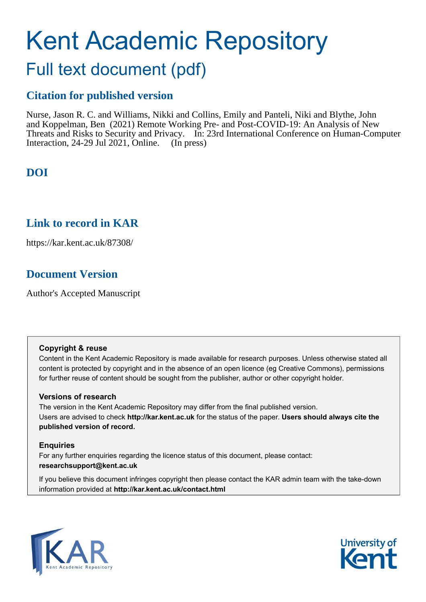# Kent Academic Repository

## Full text document (pdf)

## **Citation for published version**

Nurse, Jason R. C. and Williams, Nikki and Collins, Emily and Panteli, Niki and Blythe, John and Koppelman, Ben (2021) Remote Working Pre- and Post-COVID-19: An Analysis of New Threats and Risks to Security and Privacy. In: 23rd International Conference on Human-Computer Interaction, 24-29 Jul 2021, Online. (In press)

## **DOI**

## **Link to record in KAR**

https://kar.kent.ac.uk/87308/

## **Document Version**

Author's Accepted Manuscript

#### **Copyright & reuse**

Content in the Kent Academic Repository is made available for research purposes. Unless otherwise stated all content is protected by copyright and in the absence of an open licence (eg Creative Commons), permissions for further reuse of content should be sought from the publisher, author or other copyright holder.

#### **Versions of research**

The version in the Kent Academic Repository may differ from the final published version. Users are advised to check **http://kar.kent.ac.uk** for the status of the paper. **Users should always cite the published version of record.**

#### **Enquiries**

For any further enquiries regarding the licence status of this document, please contact: **researchsupport@kent.ac.uk**

If you believe this document infringes copyright then please contact the KAR admin team with the take-down information provided at **http://kar.kent.ac.uk/contact.html**



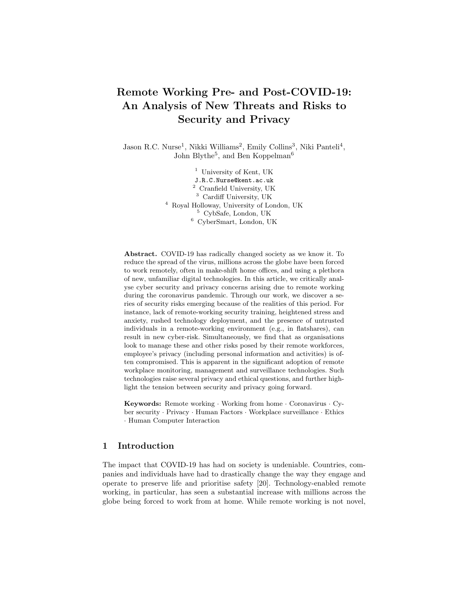### Remote Working Pre- and Post-COVID-19: An Analysis of New Threats and Risks to Security and Privacy

Jason R.C. Nurse<sup>1</sup>, Nikki Williams<sup>2</sup>, Emily Collins<sup>3</sup>, Niki Panteli<sup>4</sup>, John Blythe<sup>5</sup>, and Ben Koppelman<sup>6</sup>

> University of Kent, UK J.R.C.Nurse@kent.ac.uk Cranfield University, UK <sup>3</sup> Cardiff University, UK Royal Holloway, University of London, UK CybSafe, London, UK CyberSmart, London, UK

Abstract. COVID-19 has radically changed society as we know it. To reduce the spread of the virus, millions across the globe have been forced to work remotely, often in make-shift home offices, and using a plethora of new, unfamiliar digital technologies. In this article, we critically analyse cyber security and privacy concerns arising due to remote working during the coronavirus pandemic. Through our work, we discover a series of security risks emerging because of the realities of this period. For instance, lack of remote-working security training, heightened stress and anxiety, rushed technology deployment, and the presence of untrusted individuals in a remote-working environment (e.g., in flatshares), can result in new cyber-risk. Simultaneously, we find that as organisations look to manage these and other risks posed by their remote workforces, employee's privacy (including personal information and activities) is often compromised. This is apparent in the significant adoption of remote workplace monitoring, management and surveillance technologies. Such technologies raise several privacy and ethical questions, and further highlight the tension between security and privacy going forward.

**Keywords:** Remote working  $\cdot$  Working from home  $\cdot$  Coronavirus  $\cdot$  Cyber security · Privacy · Human Factors · Workplace surveillance · Ethics · Human Computer Interaction

#### 1 Introduction

The impact that COVID-19 has had on society is undeniable. Countries, companies and individuals have had to drastically change the way they engage and operate to preserve life and prioritise safety [20]. Technology-enabled remote working, in particular, has seen a substantial increase with millions across the globe being forced to work from at home. While remote working is not novel,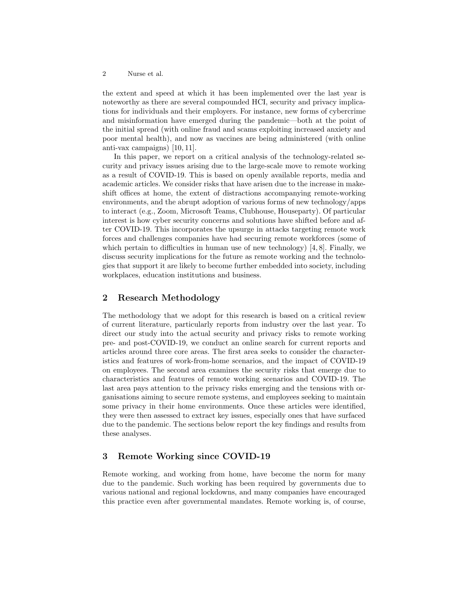the extent and speed at which it has been implemented over the last year is noteworthy as there are several compounded HCI, security and privacy implications for individuals and their employers. For instance, new forms of cybercrime and misinformation have emerged during the pandemic—both at the point of the initial spread (with online fraud and scams exploiting increased anxiety and poor mental health), and now as vaccines are being administered (with online anti-vax campaigns) [10, 11].

In this paper, we report on a critical analysis of the technology-related security and privacy issues arising due to the large-scale move to remote working as a result of COVID-19. This is based on openly available reports, media and academic articles. We consider risks that have arisen due to the increase in makeshift offices at home, the extent of distractions accompanying remote-working environments, and the abrupt adoption of various forms of new technology/apps to interact (e.g., Zoom, Microsoft Teams, Clubhouse, Houseparty). Of particular interest is how cyber security concerns and solutions have shifted before and after COVID-19. This incorporates the upsurge in attacks targeting remote work forces and challenges companies have had securing remote workforces (some of which pertain to difficulties in human use of new technology)  $[4, 8]$ . Finally, we discuss security implications for the future as remote working and the technologies that support it are likely to become further embedded into society, including workplaces, education institutions and business.

#### 2 Research Methodology

The methodology that we adopt for this research is based on a critical review of current literature, particularly reports from industry over the last year. To direct our study into the actual security and privacy risks to remote working pre- and post-COVID-19, we conduct an online search for current reports and articles around three core areas. The first area seeks to consider the characteristics and features of work-from-home scenarios, and the impact of COVID-19 on employees. The second area examines the security risks that emerge due to characteristics and features of remote working scenarios and COVID-19. The last area pays attention to the privacy risks emerging and the tensions with organisations aiming to secure remote systems, and employees seeking to maintain some privacy in their home environments. Once these articles were identified, they were then assessed to extract key issues, especially ones that have surfaced due to the pandemic. The sections below report the key findings and results from these analyses.

#### 3 Remote Working since COVID-19

Remote working, and working from home, have become the norm for many due to the pandemic. Such working has been required by governments due to various national and regional lockdowns, and many companies have encouraged this practice even after governmental mandates. Remote working is, of course,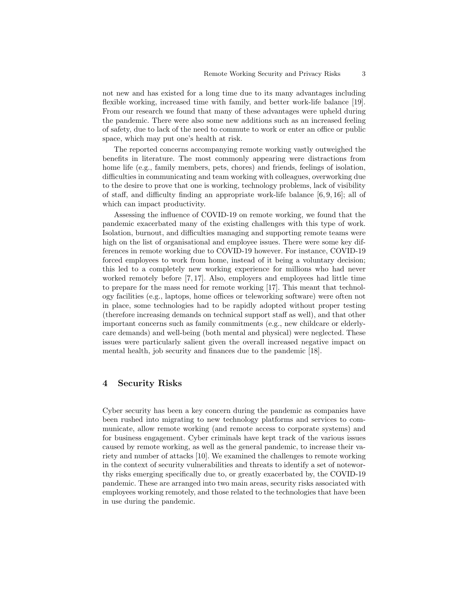not new and has existed for a long time due to its many advantages including flexible working, increased time with family, and better work-life balance [19]. From our research we found that many of these advantages were upheld during the pandemic. There were also some new additions such as an increased feeling of safety, due to lack of the need to commute to work or enter an office or public space, which may put one's health at risk.

The reported concerns accompanying remote working vastly outweighed the benefits in literature. The most commonly appearing were distractions from home life (e.g., family members, pets, chores) and friends, feelings of isolation, difficulties in communicating and team working with colleagues, overworking due to the desire to prove that one is working, technology problems, lack of visibility of staff, and difficulty finding an appropriate work-life balance [6, 9, 16]; all of which can impact productivity.

Assessing the influence of COVID-19 on remote working, we found that the pandemic exacerbated many of the existing challenges with this type of work. Isolation, burnout, and difficulties managing and supporting remote teams were high on the list of organisational and employee issues. There were some key differences in remote working due to COVID-19 however. For instance, COVID-19 forced employees to work from home, instead of it being a voluntary decision; this led to a completely new working experience for millions who had never worked remotely before [7, 17]. Also, employers and employees had little time to prepare for the mass need for remote working [17]. This meant that technology facilities (e.g., laptops, home offices or teleworking software) were often not in place, some technologies had to be rapidly adopted without proper testing (therefore increasing demands on technical support staff as well), and that other important concerns such as family commitments (e.g., new childcare or elderlycare demands) and well-being (both mental and physical) were neglected. These issues were particularly salient given the overall increased negative impact on mental health, job security and finances due to the pandemic [18].

#### 4 Security Risks

Cyber security has been a key concern during the pandemic as companies have been rushed into migrating to new technology platforms and services to communicate, allow remote working (and remote access to corporate systems) and for business engagement. Cyber criminals have kept track of the various issues caused by remote working, as well as the general pandemic, to increase their variety and number of attacks [10]. We examined the challenges to remote working in the context of security vulnerabilities and threats to identify a set of noteworthy risks emerging specifically due to, or greatly exacerbated by, the COVID-19 pandemic. These are arranged into two main areas, security risks associated with employees working remotely, and those related to the technologies that have been in use during the pandemic.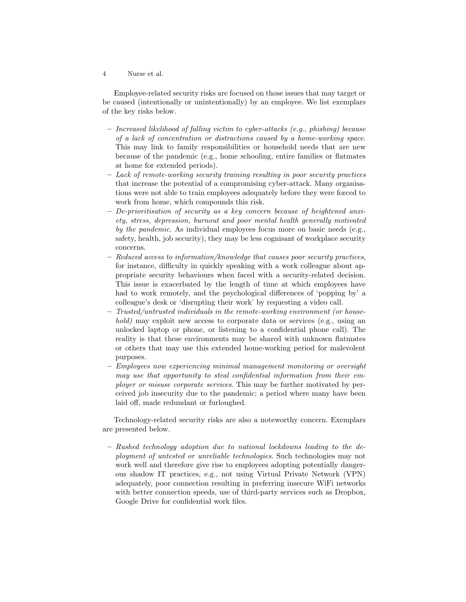#### 4 Nurse et al.

Employee-related security risks are focused on those issues that may target or be caused (intentionally or unintentionally) by an employee. We list exemplars of the key risks below.

- Increased likelihood of falling victim to cyber-attacks (e.g., phishing) because of a lack of concentration or distractions caused by a home-working space. This may link to family responsibilities or household needs that are new because of the pandemic (e.g., home schooling, entire families or flatmates at home for extended periods).
- Lack of remote-working security training resulting in poor security practices that increase the potential of a compromising cyber-attack. Many organisations were not able to train employees adequately before they were forced to work from home, which compounds this risk.
- De-prioritisation of security as a key concern because of heightened anxiety, stress, depression, burnout and poor mental health generally motivated by the pandemic. As individual employees focus more on basic needs (e.g., safety, health, job security), they may be less cognisant of workplace security concerns.
- Reduced access to information/knowledge that causes poor security practices, for instance, difficulty in quickly speaking with a work colleague about appropriate security behaviours when faced with a security-related decision. This issue is exacerbated by the length of time at which employees have had to work remotely, and the psychological differences of 'popping by' a colleague's desk or 'disrupting their work' by requesting a video call.
- Trusted/untrusted individuals in the remote-working environment (or household) may exploit new access to corporate data or services (e.g., using an unlocked laptop or phone, or listening to a confidential phone call). The reality is that these environments may be shared with unknown flatmates or others that may use this extended home-working period for malevolent purposes.
- Employees now experiencing minimal management monitoring or oversight may use that opportunity to steal confidential information from their employer or misuse corporate services. This may be further motivated by perceived job insecurity due to the pandemic; a period where many have been laid off, made redundant or furloughed.

Technology-related security risks are also a noteworthy concern. Exemplars are presented below.

– Rushed technology adoption due to national lockdowns leading to the deployment of untested or unreliable technologies. Such technologies may not work well and therefore give rise to employees adopting potentially dangerous shadow IT practices, e.g., not using Virtual Private Network (VPN) adequately, poor connection resulting in preferring insecure WiFi networks with better connection speeds, use of third-party services such as Dropbox, Google Drive for confidential work files.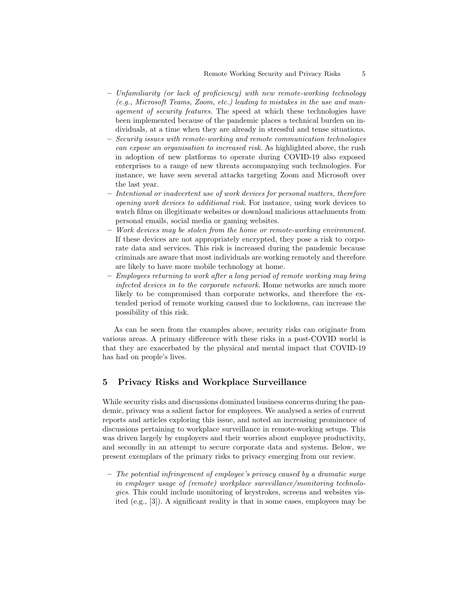- Unfamiliarity (or lack of proficiency) with new remote-working technology (e.g., Microsoft Teams, Zoom, etc.) leading to mistakes in the use and management of security features. The speed at which these technologies have been implemented because of the pandemic places a technical burden on individuals, at a time when they are already in stressful and tense situations.
- Security issues with remote-working and remote communication technologies can expose an organisation to increased risk. As highlighted above, the rush in adoption of new platforms to operate during COVID-19 also exposed enterprises to a range of new threats accompanying such technologies. For instance, we have seen several attacks targeting Zoom and Microsoft over the last year.
- Intentional or inadvertent use of work devices for personal matters, therefore opening work devices to additional risk. For instance, using work devices to watch films on illegitimate websites or download malicious attachments from personal emails, social media or gaming websites.
- Work devices may be stolen from the home or remote-working environment. If these devices are not appropriately encrypted, they pose a risk to corporate data and services. This risk is increased during the pandemic because criminals are aware that most individuals are working remotely and therefore are likely to have more mobile technology at home.
- Employees returning to work after a long period of remote working may bring infected devices in to the corporate network. Home networks are much more likely to be compromised than corporate networks, and therefore the extended period of remote working caused due to lockdowns, can increase the possibility of this risk.

As can be seen from the examples above, security risks can originate from various areas. A primary difference with these risks in a post-COVID world is that they are exacerbated by the physical and mental impact that COVID-19 has had on people's lives.

#### 5 Privacy Risks and Workplace Surveillance

While security risks and discussions dominated business concerns during the pandemic, privacy was a salient factor for employees. We analysed a series of current reports and articles exploring this issue, and noted an increasing prominence of discussions pertaining to workplace surveillance in remote-working setups. This was driven largely by employers and their worries about employee productivity, and secondly in an attempt to secure corporate data and systems. Below, we present exemplars of the primary risks to privacy emerging from our review.

– The potential infringement of employee's privacy caused by a dramatic surge in employer usage of (remote) workplace surveillance/monitoring technologies. This could include monitoring of keystrokes, screens and websites visited (e.g., [3]). A significant reality is that in some cases, employees may be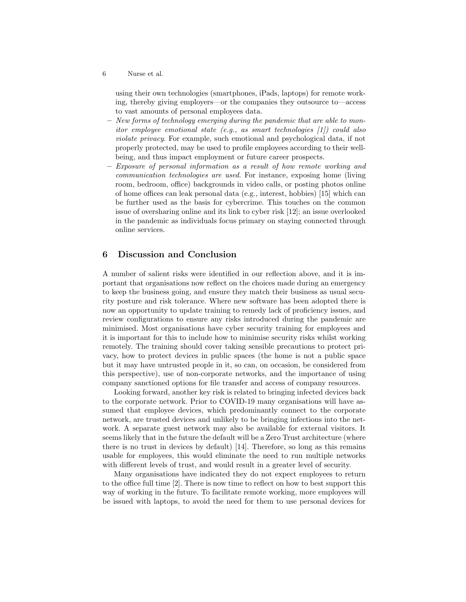#### 6 Nurse et al.

using their own technologies (smartphones, iPads, laptops) for remote working, thereby giving employers—or the companies they outsource to—access to vast amounts of personal employees data.

- New forms of technology emerging during the pandemic that are able to monitor employee emotional state (e.g., as smart technologies [1]) could also violate privacy. For example, such emotional and psychological data, if not properly protected, may be used to profile employees according to their wellbeing, and thus impact employment or future career prospects.
- Exposure of personal information as a result of how remote working and communication technologies are used. For instance, exposing home (living room, bedroom, office) backgrounds in video calls, or posting photos online of home offices can leak personal data (e.g., interest, hobbies) [15] which can be further used as the basis for cybercrime. This touches on the common issue of oversharing online and its link to cyber risk [12]; an issue overlooked in the pandemic as individuals focus primary on staying connected through online services.

#### 6 Discussion and Conclusion

A number of salient risks were identified in our reflection above, and it is important that organisations now reflect on the choices made during an emergency to keep the business going, and ensure they match their business as usual security posture and risk tolerance. Where new software has been adopted there is now an opportunity to update training to remedy lack of proficiency issues, and review configurations to ensure any risks introduced during the pandemic are minimised. Most organisations have cyber security training for employees and it is important for this to include how to minimise security risks whilst working remotely. The training should cover taking sensible precautions to protect privacy, how to protect devices in public spaces (the home is not a public space but it may have untrusted people in it, so can, on occasion, be considered from this perspective), use of non-corporate networks, and the importance of using company sanctioned options for file transfer and access of company resources.

Looking forward, another key risk is related to bringing infected devices back to the corporate network. Prior to COVID-19 many organisations will have assumed that employee devices, which predominantly connect to the corporate network, are trusted devices and unlikely to be bringing infections into the network. A separate guest network may also be available for external visitors. It seems likely that in the future the default will be a Zero Trust architecture (where there is no trust in devices by default) [14]. Therefore, so long as this remains usable for employees, this would eliminate the need to run multiple networks with different levels of trust, and would result in a greater level of security.

Many organisations have indicated they do not expect employees to return to the office full time [2]. There is now time to reflect on how to best support this way of working in the future. To facilitate remote working, more employees will be issued with laptops, to avoid the need for them to use personal devices for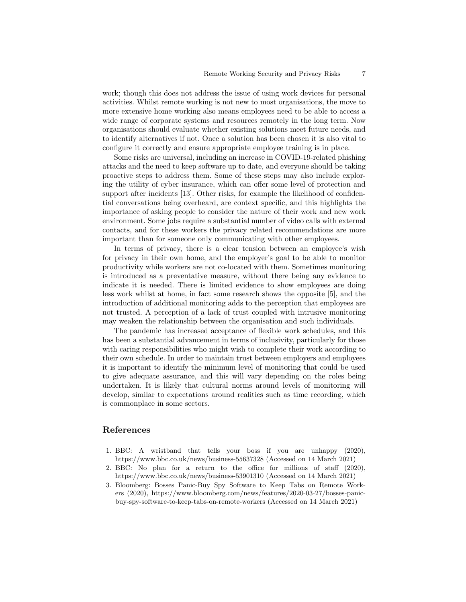work; though this does not address the issue of using work devices for personal activities. Whilst remote working is not new to most organisations, the move to more extensive home working also means employees need to be able to access a wide range of corporate systems and resources remotely in the long term. Now organisations should evaluate whether existing solutions meet future needs, and to identify alternatives if not. Once a solution has been chosen it is also vital to configure it correctly and ensure appropriate employee training is in place.

Some risks are universal, including an increase in COVID-19-related phishing attacks and the need to keep software up to date, and everyone should be taking proactive steps to address them. Some of these steps may also include exploring the utility of cyber insurance, which can offer some level of protection and support after incidents [13]. Other risks, for example the likelihood of confidential conversations being overheard, are context specific, and this highlights the importance of asking people to consider the nature of their work and new work environment. Some jobs require a substantial number of video calls with external contacts, and for these workers the privacy related recommendations are more important than for someone only communicating with other employees.

In terms of privacy, there is a clear tension between an employee's wish for privacy in their own home, and the employer's goal to be able to monitor productivity while workers are not co-located with them. Sometimes monitoring is introduced as a preventative measure, without there being any evidence to indicate it is needed. There is limited evidence to show employees are doing less work whilst at home, in fact some research shows the opposite [5], and the introduction of additional monitoring adds to the perception that employees are not trusted. A perception of a lack of trust coupled with intrusive monitoring may weaken the relationship between the organisation and such individuals.

The pandemic has increased acceptance of flexible work schedules, and this has been a substantial advancement in terms of inclusivity, particularly for those with caring responsibilities who might wish to complete their work according to their own schedule. In order to maintain trust between employers and employees it is important to identify the minimum level of monitoring that could be used to give adequate assurance, and this will vary depending on the roles being undertaken. It is likely that cultural norms around levels of monitoring will develop, similar to expectations around realities such as time recording, which is commonplace in some sectors.

#### References

- 1. BBC: A wristband that tells your boss if you are unhappy (2020), https://www.bbc.co.uk/news/business-55637328 (Accessed on 14 March 2021)
- 2. BBC: No plan for a return to the office for millions of staff (2020), https://www.bbc.co.uk/news/business-53901310 (Accessed on 14 March 2021)
- 3. Bloomberg: Bosses Panic-Buy Spy Software to Keep Tabs on Remote Workers (2020), https://www.bloomberg.com/news/features/2020-03-27/bosses-panicbuy-spy-software-to-keep-tabs-on-remote-workers (Accessed on 14 March 2021)